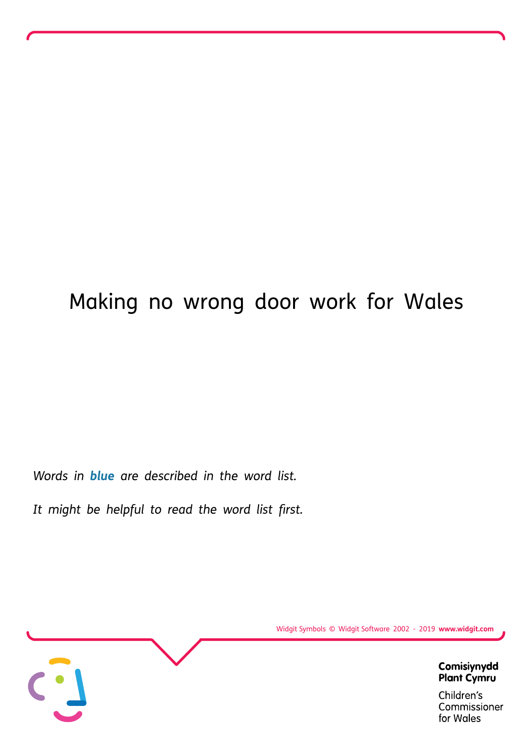# Making no wrong door work for Wales

*Words in blue are described in the [word](#page-14-0) list.*

*It might be helpful to read the word list first.*



Widgit Symbols © Widgit Software 2002 - 2019 **www.widgit.com**

Commissioner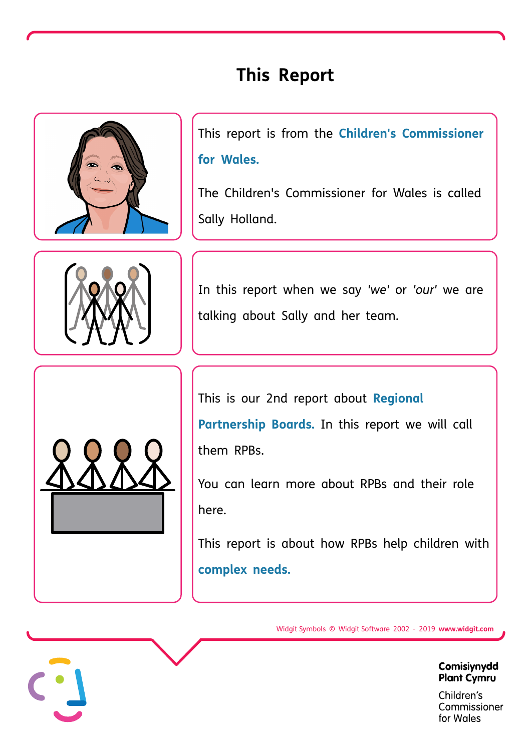# **This Report**



This report is from the **Children's [Commissioner](#page-14-0) for Wales.**

The Children's Commissioner for Wales is called Sally Holland.



In this report when we say *'we'* or *'our'* we are talking about Sally and her team.



This is our 2nd report about **Regional [Partnership](#page-14-0) Boards.** In this report we will call them RPBs.

You can learn more [about](https://www.childcomwales.org.uk/wp-content/uploads/2020/06/NoWrongDoor_Accessible_EN230620.pdf) RPBs and their role here.

This report is about how RPBs help children with **[complex](#page-14-0) needs.**

Widgit Symbols © Widgit Software 2002 - 2019 **www.widgit.com**

Comisiynydd **Plant Cymru**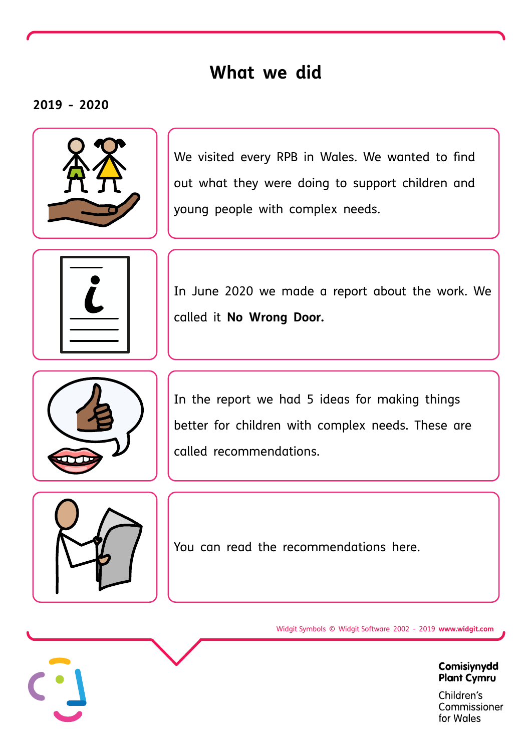### **What we did**

#### **2019 - 2020**



We visited every RPB in Wales. We wanted to find out what they were doing to support children and young people with complex needs.



In June 2020 we made a report about the work. We called it **No Wrong Door.**



In the report we had 5 ideas for making things better for children with complex needs. These are called recommendations.



You can read the [recommendations](https://www.childcomwales.org.uk/wp-content/uploads/2020/06/NoWrongDoor_Accessible_EN230620.pdf) here.

Widgit Symbols © Widgit Software 2002 - 2019 **www.widgit.com**

Comisiynydd **Plant Cymru**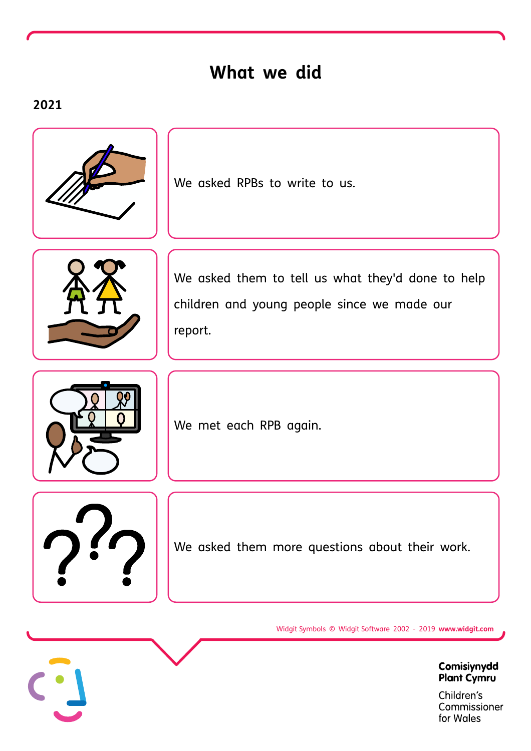### **What we did**

### **2021**



We asked RPBs to write to us.



children and young people since we made our report.

We asked them to tell us what they'd done to help



We met each RPB again.

We asked them more questions about their work.

Widgit Symbols © Widgit Software 2002 - 2019 **www.widgit.com**

Comisiynydd **Plant Cymru**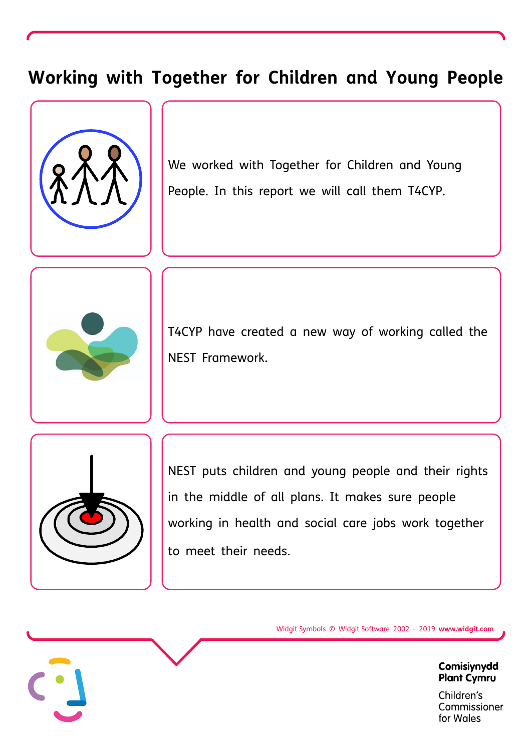### **Working with Together forChildren and Young People**



We worked with Together for Children and Young People. In this report we will call them T4CYP.



T4CYP have created a new way of working called the NEST Framework.



NEST puts children and young people and their rights in the middle of all plans. It makes sure people working in health and social care jobs work together to meet their needs.

Widgit Symbols © Widgit Software 2002 - 2019 **www.widgit.com**

Comisiynydd **Plant Cymru**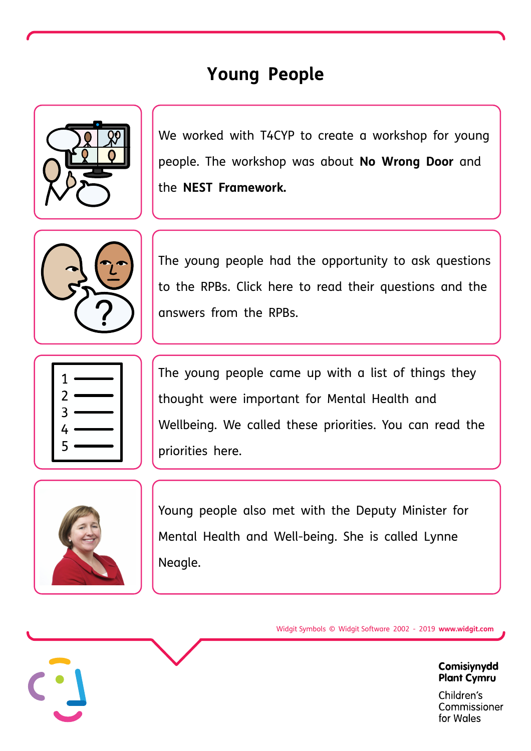# **Young People**



We worked with T4CYP to create a workshop for young people. The workshop was about **No Wrong Door** and the **NEST Framework.**



The young people had the opportunity to ask questions to the RPBs. Click here to read their [questions](https://collaborative.nhs.wales/networks/wales-mental-health-network/together-for-children-and-young-people-2/the-nest-framework/nyth-nest-documents/joint-event-with-the-childrens-commissioner-and-rpbs/) and the answers from the RPBs.



The young people came up with a list of things they thought were important for Mental Health and Wellbeing. We called these priorities. You can read the priorities here.



Young people also met with the Deputy Minister for Mental Health and Well-being. She is called Lynne Neagle.

Widgit Symbols © Widgit Software 2002 - 2019 **www.widgit.com**

Comisiynydd **Plant Cymru**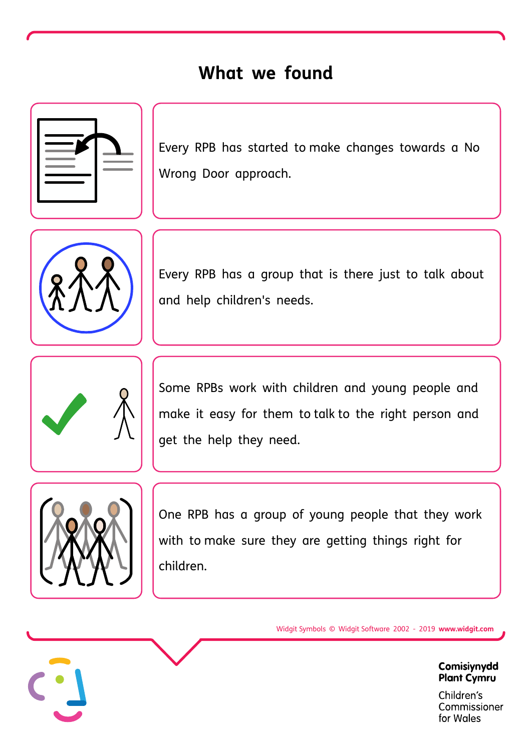### **What we found**



Every RPB has started to make changes towards a No Wrong Door approach.



Every RPB has a group that is there just to talk about and help children's needs.



Some RPBs work with children and young people and make it easy for them to talk to the right person and get the help they need.



One RPB has a group of young people that they work with to make sure they are getting things right for children.

Widgit Symbols © Widgit Software 2002 - 2019 **www.widgit.com**

Comisiynydd **Plant Cymru**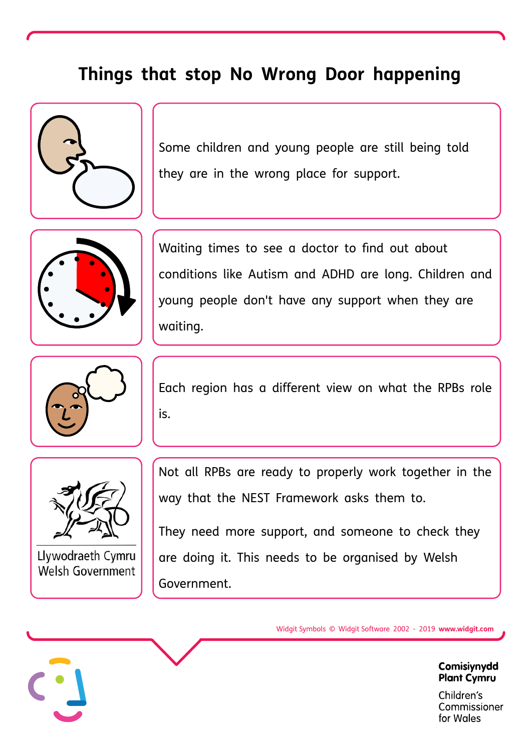### **Things that stop No Wrong Door happening**



Some children and young people are still being told they are in the wrong place for support.



Waiting times to see a doctor to find out about conditions like Autism and ADHD are long. Children and young people don't have any support when they are waiting.



Each region has a different view on what the RPBs role is.



Llywodraeth Cymru Welsh Government

Not all RPBs are ready to properly work together in the way that the NEST Framework asks them to.

They need more support, and someone to check they are doing it. This needs to be organised by Welsh Government.

Widgit Symbols © Widgit Software 2002 - 2019 **www.widgit.com**

Comisiynydd **Plant Cymru**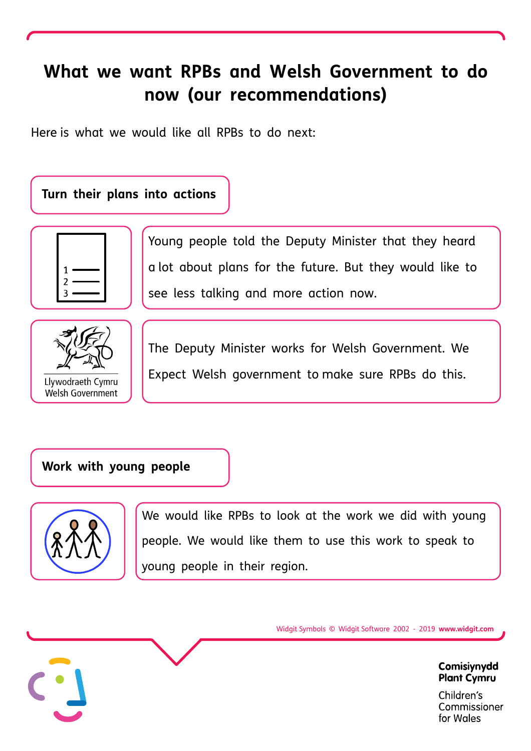# **What we want RPBs and Welsh Government to do now (our recommendations)**

Here is what we would like all RPBs to do next:

### **Turn their plans into actions**



Young people told the Deputy Minister that they heard a lot about plans for the future. But they would like to see less talking and more action now.<br>The Deputy Minister works for Welsh Government. We



**Welsh Government** 

Expect Welsh government to make sure RPBs do this.

### **Work with young people**



We would like RPBs to look at the work we did with young people. We would like them to use this work to speak to young people in their region.

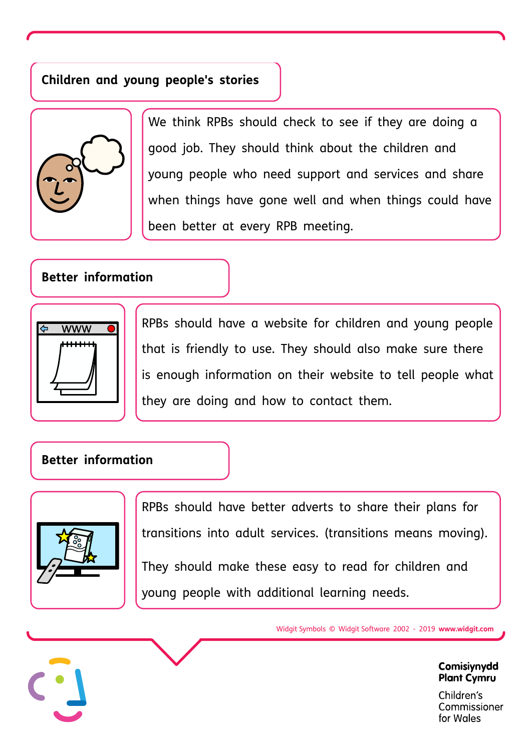### **Children and young people's stories**



We think RPBs should check to see if they are doing a good job. They should think about the children and young people who need support and services and share when things have gone well and when things could have been better at every RPB meeting.

#### **Better information**



RPBs should have a website for children and young people that is friendly to use. They should also make sure there is enough information on their website to tell people what they are doing and how to contact them.

### **Better information**



RPBs should have better adverts to share their plans for transitions into adult services.(transitions means moving).

They should make these easy to read for children and young people with additional learning needs.

Widgit Symbols © Widgit Software 2002 - 2019 **www.widgit.com**

Comisiynydd **Plant Cymru**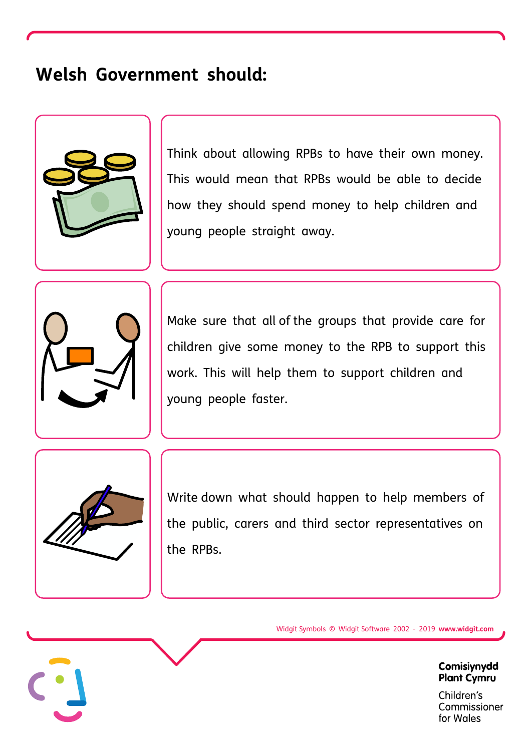### **Welsh Government should:**



Think about allowing RPBs to have their own money. This would mean that RPBs would be able to decide how they should spend money to help children and young people straight away.



Make sure that all of the groups that provide care for children give some money to the RPB to support this work. This will help them to support children and young people faster.



Write down what should happen to help members of the public, carers and third sector representatives on the RPBs.

Widgit Symbols © Widgit Software 2002 - 2019 **www.widgit.com**

Comisiynydd **Plant Cymru**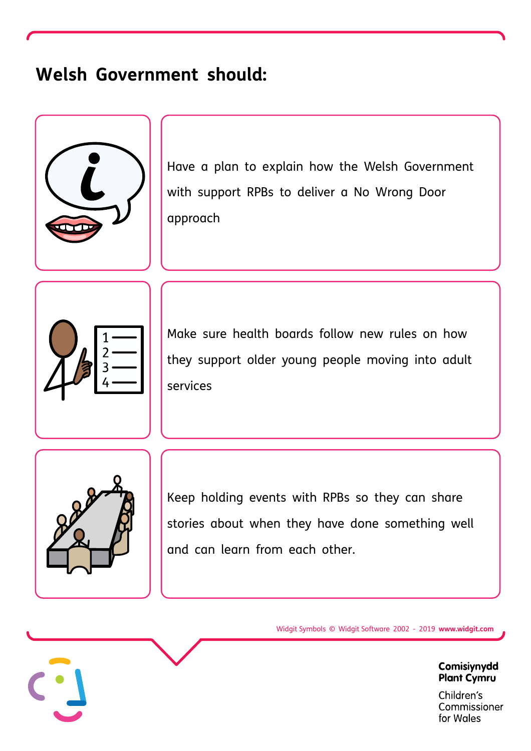# **Welsh Government should:**



Have a plan to explain how the Welsh Government with support RPBs to deliver a No Wrong Door approach



Make sure health boards follow new rules on how they support older young people moving into adult services



Keep holding events with RPBs so they can share stories about when they have done something well and can learn from each other.

Widgit Symbols © Widgit Software 2002 - 2019 **www.widgit.com**

Comisiynydd **Plant Cymru**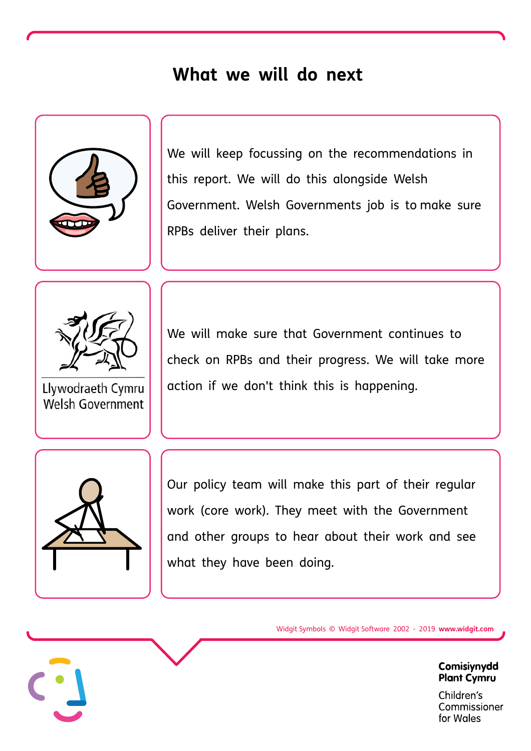### **What we will do next**



We will keep focussing on the recommendations in this report. We will do this alongside Welsh Government. Welsh Governments job is to make sure RPBs deliver their plans.



Llywodraeth Cymru Welsh Government

We will make sure that Government continues to check on RPBs and their progress. We will take more action if we don't think this is happening.



Our policy team will make this part of their regular work (core work). They meet with the Government and other groups to hear about their work and see what they have been doing.

Widgit Symbols © Widgit Software 2002 - 2019 **www.widgit.com**

Comisiynydd **Plant Cymru**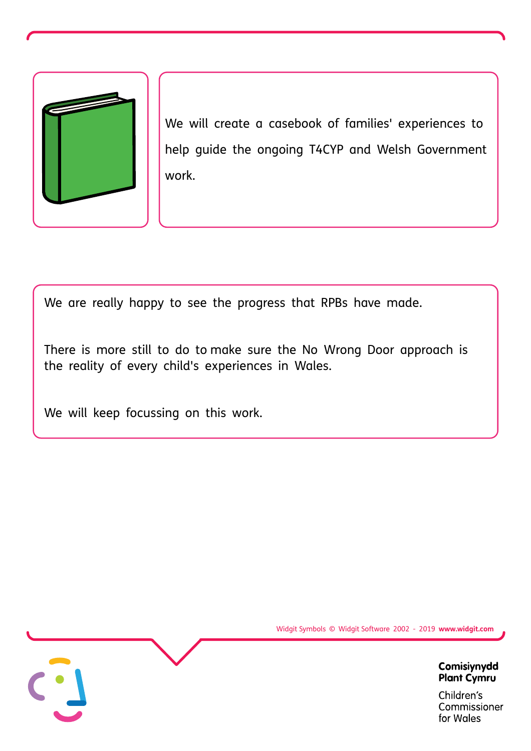

We will create a casebook of families' experiences to help guide the ongoing T4CYP and Welsh Government work.

We are really happy to see the progress that RPBs have made.

There is more still to do to make sure the No Wrong Door approach is the reality of every child's experiences in Wales.

We will keep focussing on this work.



Widgit Symbols © Widgit Software 2002 - 2019 **www.widgit.com**

Comisiynydd **Plant Cymru**